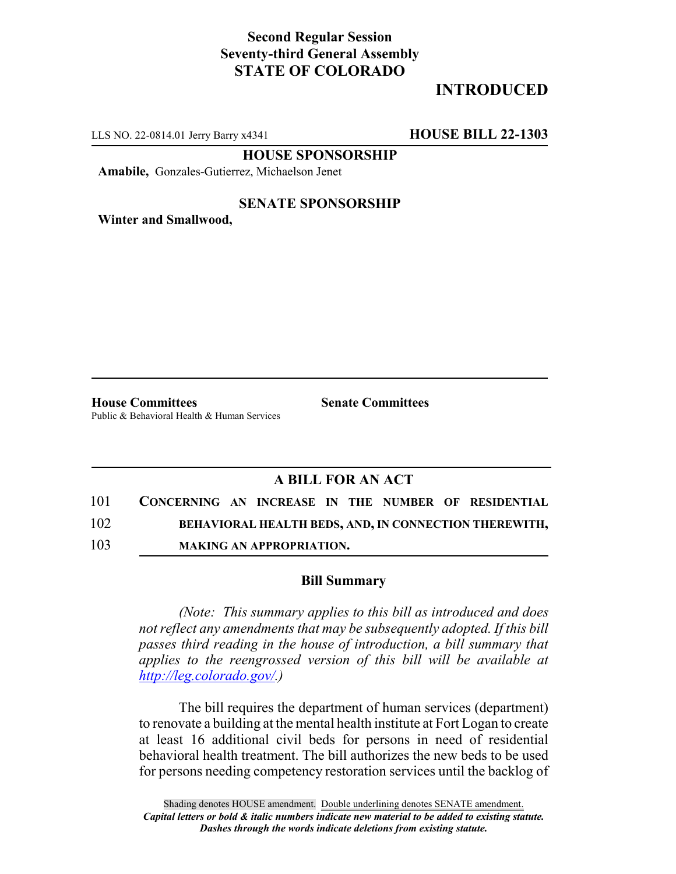## **Second Regular Session Seventy-third General Assembly STATE OF COLORADO**

# **INTRODUCED**

LLS NO. 22-0814.01 Jerry Barry x4341 **HOUSE BILL 22-1303**

**HOUSE SPONSORSHIP**

**Amabile,** Gonzales-Gutierrez, Michaelson Jenet

### **SENATE SPONSORSHIP**

**Winter and Smallwood,**

**House Committees Senate Committees** Public & Behavioral Health & Human Services

## **A BILL FOR AN ACT**

- 101 **CONCERNING AN INCREASE IN THE NUMBER OF RESIDENTIAL** 102 **BEHAVIORAL HEALTH BEDS, AND, IN CONNECTION THEREWITH,**
- 103 **MAKING AN APPROPRIATION.**

### **Bill Summary**

*(Note: This summary applies to this bill as introduced and does not reflect any amendments that may be subsequently adopted. If this bill passes third reading in the house of introduction, a bill summary that applies to the reengrossed version of this bill will be available at http://leg.colorado.gov/.)*

The bill requires the department of human services (department) to renovate a building at the mental health institute at Fort Logan to create at least 16 additional civil beds for persons in need of residential behavioral health treatment. The bill authorizes the new beds to be used for persons needing competency restoration services until the backlog of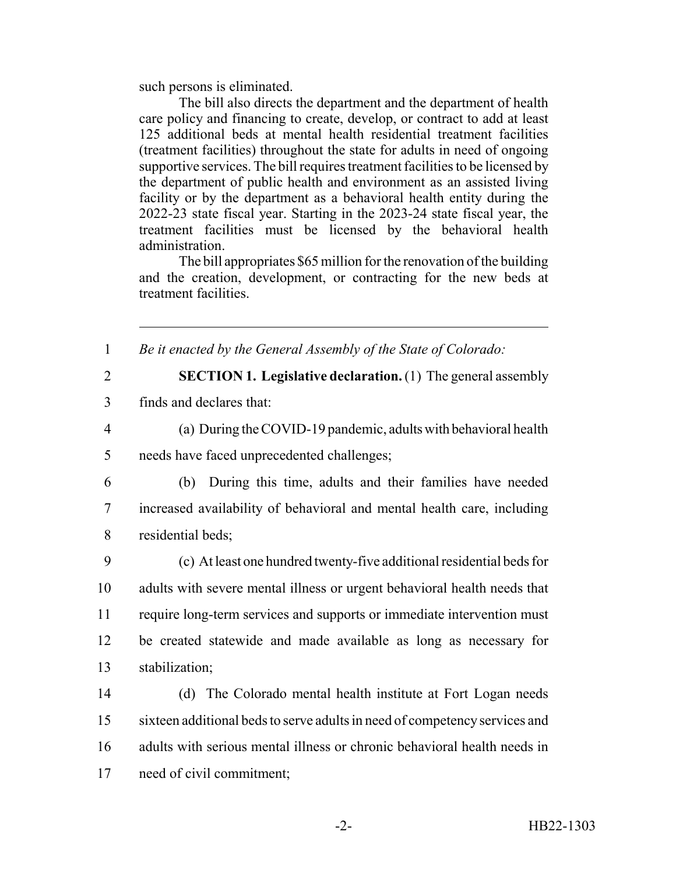such persons is eliminated.

The bill also directs the department and the department of health care policy and financing to create, develop, or contract to add at least 125 additional beds at mental health residential treatment facilities (treatment facilities) throughout the state for adults in need of ongoing supportive services. The bill requires treatment facilities to be licensed by the department of public health and environment as an assisted living facility or by the department as a behavioral health entity during the 2022-23 state fiscal year. Starting in the 2023-24 state fiscal year, the treatment facilities must be licensed by the behavioral health administration.

The bill appropriates \$65 million for the renovation of the building and the creation, development, or contracting for the new beds at treatment facilities.

1 *Be it enacted by the General Assembly of the State of Colorado:*

2 **SECTION 1. Legislative declaration.** (1) The general assembly

3 finds and declares that:

4 (a) During the COVID-19 pandemic, adults with behavioral health 5 needs have faced unprecedented challenges;

6 (b) During this time, adults and their families have needed 7 increased availability of behavioral and mental health care, including 8 residential beds;

 (c) At least one hundred twenty-five additional residential beds for adults with severe mental illness or urgent behavioral health needs that require long-term services and supports or immediate intervention must be created statewide and made available as long as necessary for stabilization;

 (d) The Colorado mental health institute at Fort Logan needs sixteen additional beds to serve adults in need of competency services and adults with serious mental illness or chronic behavioral health needs in need of civil commitment;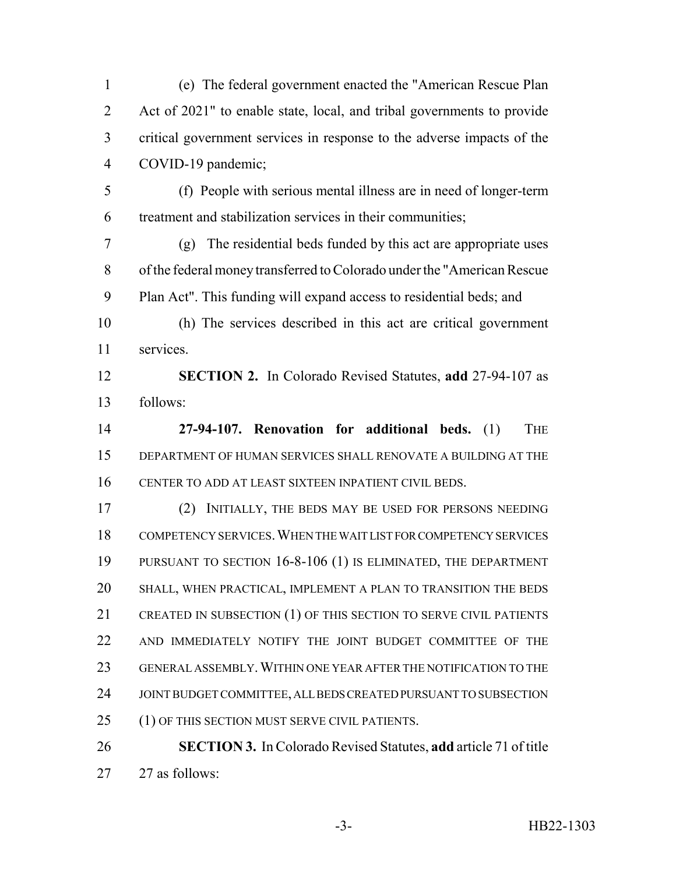(e) The federal government enacted the "American Rescue Plan Act of 2021" to enable state, local, and tribal governments to provide critical government services in response to the adverse impacts of the COVID-19 pandemic;

 (f) People with serious mental illness are in need of longer-term treatment and stabilization services in their communities;

 (g) The residential beds funded by this act are appropriate uses of the federal money transferred to Colorado under the "American Rescue Plan Act". This funding will expand access to residential beds; and

 (h) The services described in this act are critical government services.

 **SECTION 2.** In Colorado Revised Statutes, **add** 27-94-107 as follows:

 **27-94-107. Renovation for additional beds.** (1) THE DEPARTMENT OF HUMAN SERVICES SHALL RENOVATE A BUILDING AT THE CENTER TO ADD AT LEAST SIXTEEN INPATIENT CIVIL BEDS.

 (2) INITIALLY, THE BEDS MAY BE USED FOR PERSONS NEEDING COMPETENCY SERVICES.WHEN THE WAIT LIST FOR COMPETENCY SERVICES PURSUANT TO SECTION 16-8-106 (1) IS ELIMINATED, THE DEPARTMENT SHALL, WHEN PRACTICAL, IMPLEMENT A PLAN TO TRANSITION THE BEDS CREATED IN SUBSECTION (1) OF THIS SECTION TO SERVE CIVIL PATIENTS AND IMMEDIATELY NOTIFY THE JOINT BUDGET COMMITTEE OF THE GENERAL ASSEMBLY.WITHIN ONE YEAR AFTER THE NOTIFICATION TO THE JOINT BUDGET COMMITTEE, ALL BEDS CREATED PURSUANT TO SUBSECTION 25 (1) OF THIS SECTION MUST SERVE CIVIL PATIENTS.

 **SECTION 3.** In Colorado Revised Statutes, **add** article 71 of title 27 as follows: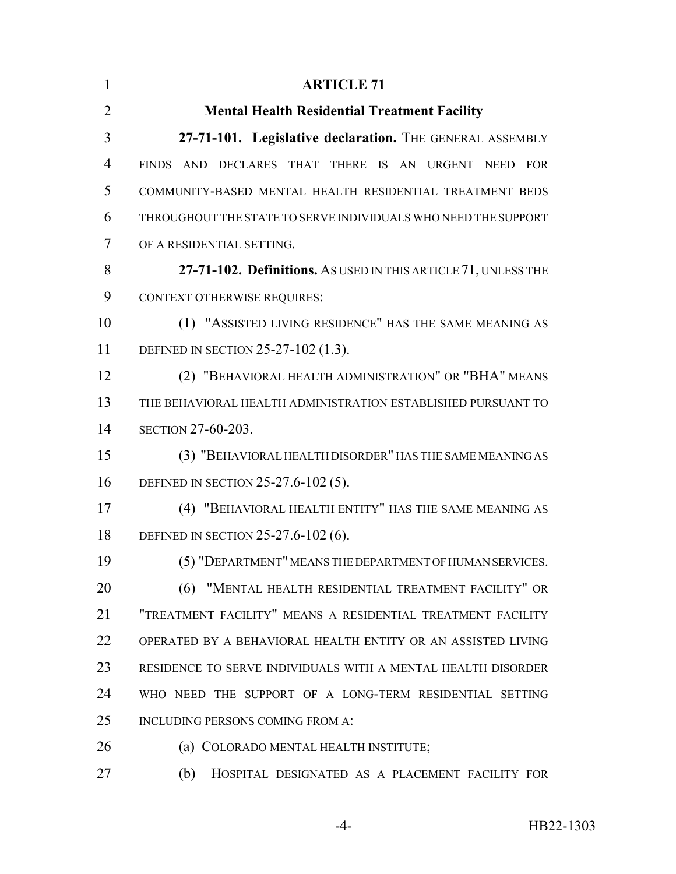| $\mathbf{1}$   | <b>ARTICLE 71</b>                                              |
|----------------|----------------------------------------------------------------|
| $\overline{2}$ | <b>Mental Health Residential Treatment Facility</b>            |
| 3              | 27-71-101. Legislative declaration. THE GENERAL ASSEMBLY       |
| $\overline{4}$ | FINDS AND DECLARES THAT THERE IS AN URGENT NEED FOR            |
| 5              | COMMUNITY-BASED MENTAL HEALTH RESIDENTIAL TREATMENT BEDS       |
| 6              | THROUGHOUT THE STATE TO SERVE INDIVIDUALS WHO NEED THE SUPPORT |
| 7              | OF A RESIDENTIAL SETTING.                                      |
| 8              | 27-71-102. Definitions. As USED IN THIS ARTICLE 71, UNLESS THE |
| 9              | <b>CONTEXT OTHERWISE REQUIRES:</b>                             |
| 10             | (1) "ASSISTED LIVING RESIDENCE" HAS THE SAME MEANING AS        |
| 11             | DEFINED IN SECTION 25-27-102 (1.3).                            |
| 12             | (2) "BEHAVIORAL HEALTH ADMINISTRATION" OR "BHA" MEANS          |
| 13             | THE BEHAVIORAL HEALTH ADMINISTRATION ESTABLISHED PURSUANT TO   |
| 14             | <b>SECTION 27-60-203.</b>                                      |
| 15             | (3) "BEHAVIORAL HEALTH DISORDER" HAS THE SAME MEANING AS       |
| 16             | DEFINED IN SECTION 25-27.6-102 (5).                            |
| 17             | (4) "BEHAVIORAL HEALTH ENTITY" HAS THE SAME MEANING AS         |
| 18             | DEFINED IN SECTION 25-27.6-102 (6).                            |
| 19             | (5) "DEPARTMENT" MEANS THE DEPARTMENT OF HUMAN SERVICES.       |
| 20             | (6) "MENTAL HEALTH RESIDENTIAL TREATMENT FACILITY" OR          |
| 21             | "TREATMENT FACILITY" MEANS A RESIDENTIAL TREATMENT FACILITY    |
| 22             | OPERATED BY A BEHAVIORAL HEALTH ENTITY OR AN ASSISTED LIVING   |
| 23             | RESIDENCE TO SERVE INDIVIDUALS WITH A MENTAL HEALTH DISORDER   |
| 24             | WHO NEED THE SUPPORT OF A LONG-TERM RESIDENTIAL SETTING        |
| 25             | INCLUDING PERSONS COMING FROM A:                               |
| 26             | (a) COLORADO MENTAL HEALTH INSTITUTE;                          |
| 27             | (b)<br>HOSPITAL DESIGNATED AS A PLACEMENT FACILITY FOR         |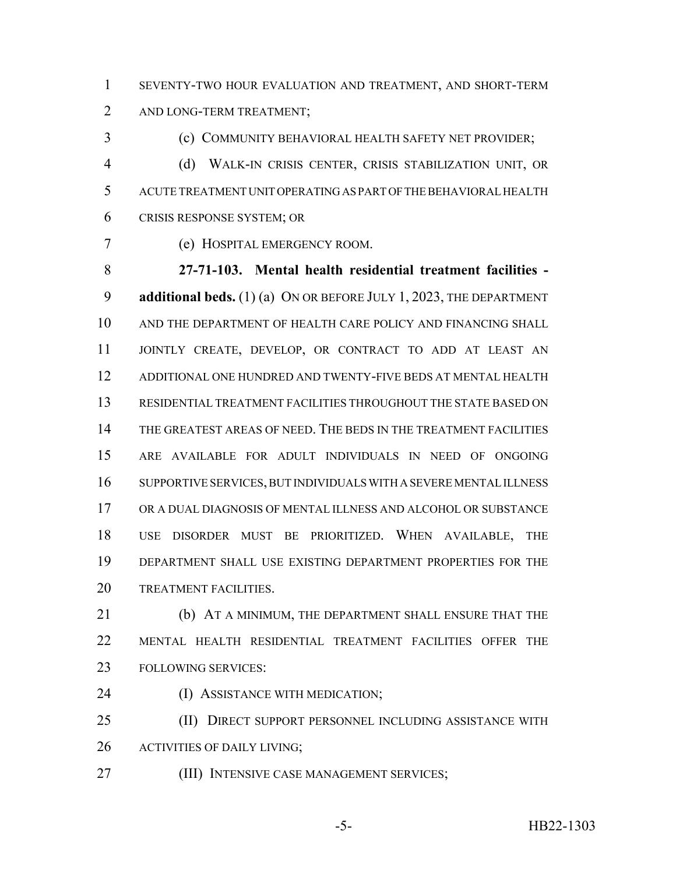SEVENTY-TWO HOUR EVALUATION AND TREATMENT, AND SHORT-TERM 2 AND LONG-TERM TREATMENT;

(c) COMMUNITY BEHAVIORAL HEALTH SAFETY NET PROVIDER;

 (d) WALK-IN CRISIS CENTER, CRISIS STABILIZATION UNIT, OR ACUTE TREATMENT UNIT OPERATING AS PART OF THE BEHAVIORAL HEALTH CRISIS RESPONSE SYSTEM; OR

(e) HOSPITAL EMERGENCY ROOM.

 **27-71-103. Mental health residential treatment facilities - additional beds.** (1) (a) ON OR BEFORE JULY 1, 2023, THE DEPARTMENT AND THE DEPARTMENT OF HEALTH CARE POLICY AND FINANCING SHALL JOINTLY CREATE, DEVELOP, OR CONTRACT TO ADD AT LEAST AN ADDITIONAL ONE HUNDRED AND TWENTY-FIVE BEDS AT MENTAL HEALTH RESIDENTIAL TREATMENT FACILITIES THROUGHOUT THE STATE BASED ON THE GREATEST AREAS OF NEED. THE BEDS IN THE TREATMENT FACILITIES ARE AVAILABLE FOR ADULT INDIVIDUALS IN NEED OF ONGOING SUPPORTIVE SERVICES, BUT INDIVIDUALS WITH A SEVERE MENTAL ILLNESS OR A DUAL DIAGNOSIS OF MENTAL ILLNESS AND ALCOHOL OR SUBSTANCE USE DISORDER MUST BE PRIORITIZED. WHEN AVAILABLE, THE DEPARTMENT SHALL USE EXISTING DEPARTMENT PROPERTIES FOR THE 20 TREATMENT FACILITIES.

 (b) AT A MINIMUM, THE DEPARTMENT SHALL ENSURE THAT THE MENTAL HEALTH RESIDENTIAL TREATMENT FACILITIES OFFER THE FOLLOWING SERVICES:

(I) ASSISTANCE WITH MEDICATION;

 (II) DIRECT SUPPORT PERSONNEL INCLUDING ASSISTANCE WITH ACTIVITIES OF DAILY LIVING;

(III) INTENSIVE CASE MANAGEMENT SERVICES;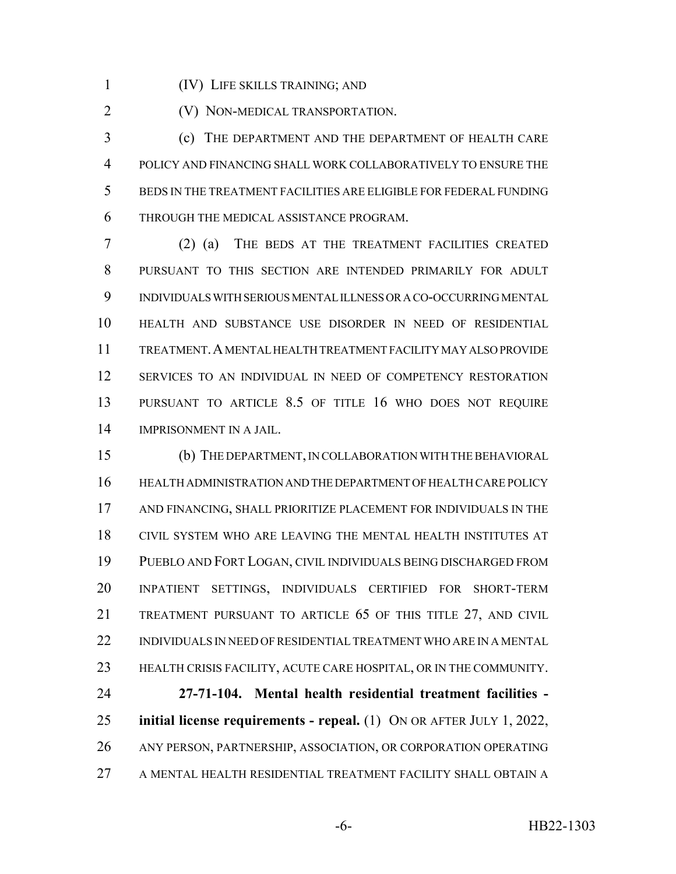(IV) LIFE SKILLS TRAINING; AND

**(V) NON-MEDICAL TRANSPORTATION.** 

 (c) THE DEPARTMENT AND THE DEPARTMENT OF HEALTH CARE POLICY AND FINANCING SHALL WORK COLLABORATIVELY TO ENSURE THE BEDS IN THE TREATMENT FACILITIES ARE ELIGIBLE FOR FEDERAL FUNDING THROUGH THE MEDICAL ASSISTANCE PROGRAM.

 (2) (a) THE BEDS AT THE TREATMENT FACILITIES CREATED PURSUANT TO THIS SECTION ARE INTENDED PRIMARILY FOR ADULT INDIVIDUALS WITH SERIOUS MENTAL ILLNESS OR A CO-OCCURRING MENTAL HEALTH AND SUBSTANCE USE DISORDER IN NEED OF RESIDENTIAL TREATMENT.A MENTAL HEALTH TREATMENT FACILITY MAY ALSO PROVIDE SERVICES TO AN INDIVIDUAL IN NEED OF COMPETENCY RESTORATION PURSUANT TO ARTICLE 8.5 OF TITLE 16 WHO DOES NOT REQUIRE IMPRISONMENT IN A JAIL.

 (b) THE DEPARTMENT, IN COLLABORATION WITH THE BEHAVIORAL HEALTH ADMINISTRATION AND THE DEPARTMENT OF HEALTH CARE POLICY AND FINANCING, SHALL PRIORITIZE PLACEMENT FOR INDIVIDUALS IN THE CIVIL SYSTEM WHO ARE LEAVING THE MENTAL HEALTH INSTITUTES AT PUEBLO AND FORT LOGAN, CIVIL INDIVIDUALS BEING DISCHARGED FROM INPATIENT SETTINGS, INDIVIDUALS CERTIFIED FOR SHORT-TERM TREATMENT PURSUANT TO ARTICLE 65 OF THIS TITLE 27, AND CIVIL INDIVIDUALS IN NEED OF RESIDENTIAL TREATMENT WHO ARE IN A MENTAL HEALTH CRISIS FACILITY, ACUTE CARE HOSPITAL, OR IN THE COMMUNITY.

 **27-71-104. Mental health residential treatment facilities - initial license requirements - repeal.** (1) ON OR AFTER JULY 1, 2022, ANY PERSON, PARTNERSHIP, ASSOCIATION, OR CORPORATION OPERATING A MENTAL HEALTH RESIDENTIAL TREATMENT FACILITY SHALL OBTAIN A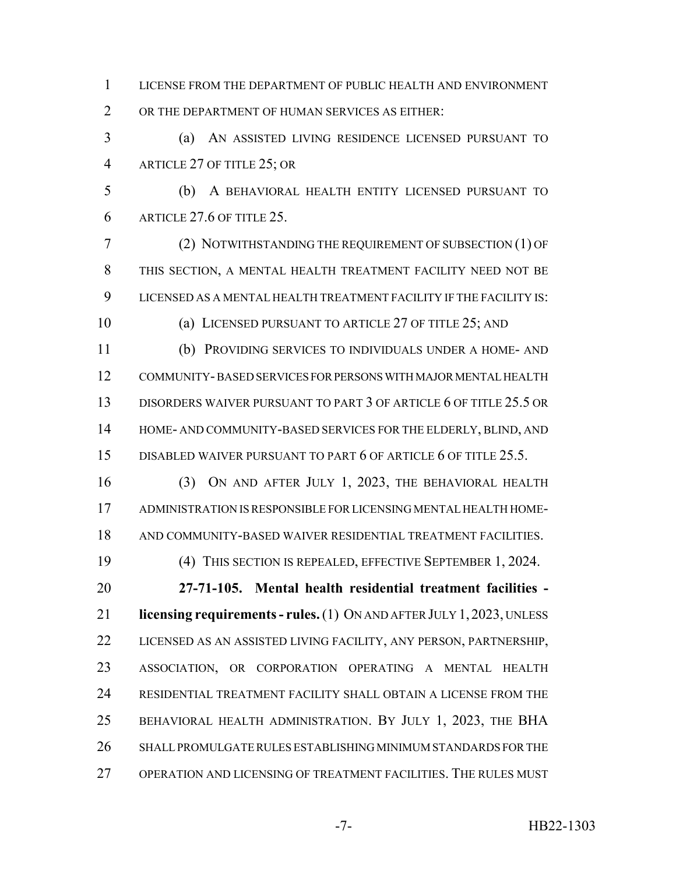LICENSE FROM THE DEPARTMENT OF PUBLIC HEALTH AND ENVIRONMENT OR THE DEPARTMENT OF HUMAN SERVICES AS EITHER:

 (a) AN ASSISTED LIVING RESIDENCE LICENSED PURSUANT TO ARTICLE 27 OF TITLE 25; OR

 (b) A BEHAVIORAL HEALTH ENTITY LICENSED PURSUANT TO ARTICLE 27.6 OF TITLE 25.

 (2) NOTWITHSTANDING THE REQUIREMENT OF SUBSECTION (1) OF THIS SECTION, A MENTAL HEALTH TREATMENT FACILITY NEED NOT BE LICENSED AS A MENTAL HEALTH TREATMENT FACILITY IF THE FACILITY IS:

(a) LICENSED PURSUANT TO ARTICLE 27 OF TITLE 25; AND

 (b) PROVIDING SERVICES TO INDIVIDUALS UNDER A HOME- AND COMMUNITY- BASED SERVICES FOR PERSONS WITH MAJOR MENTAL HEALTH DISORDERS WAIVER PURSUANT TO PART 3 OF ARTICLE 6 OF TITLE 25.5 OR HOME- AND COMMUNITY-BASED SERVICES FOR THE ELDERLY, BLIND, AND 15 DISABLED WAIVER PURSUANT TO PART 6 OF ARTICLE 6 OF TITLE 25.5.

 (3) ON AND AFTER JULY 1, 2023, THE BEHAVIORAL HEALTH ADMINISTRATION IS RESPONSIBLE FOR LICENSING MENTAL HEALTH HOME-AND COMMUNITY-BASED WAIVER RESIDENTIAL TREATMENT FACILITIES.

(4) THIS SECTION IS REPEALED, EFFECTIVE SEPTEMBER 1, 2024.

 **27-71-105. Mental health residential treatment facilities - licensing requirements - rules.** (1) ON AND AFTER JULY 1, 2023, UNLESS 22 LICENSED AS AN ASSISTED LIVING FACILITY, ANY PERSON, PARTNERSHIP, ASSOCIATION, OR CORPORATION OPERATING A MENTAL HEALTH RESIDENTIAL TREATMENT FACILITY SHALL OBTAIN A LICENSE FROM THE BEHAVIORAL HEALTH ADMINISTRATION. BY JULY 1, 2023, THE BHA SHALL PROMULGATE RULES ESTABLISHING MINIMUM STANDARDS FOR THE OPERATION AND LICENSING OF TREATMENT FACILITIES. THE RULES MUST